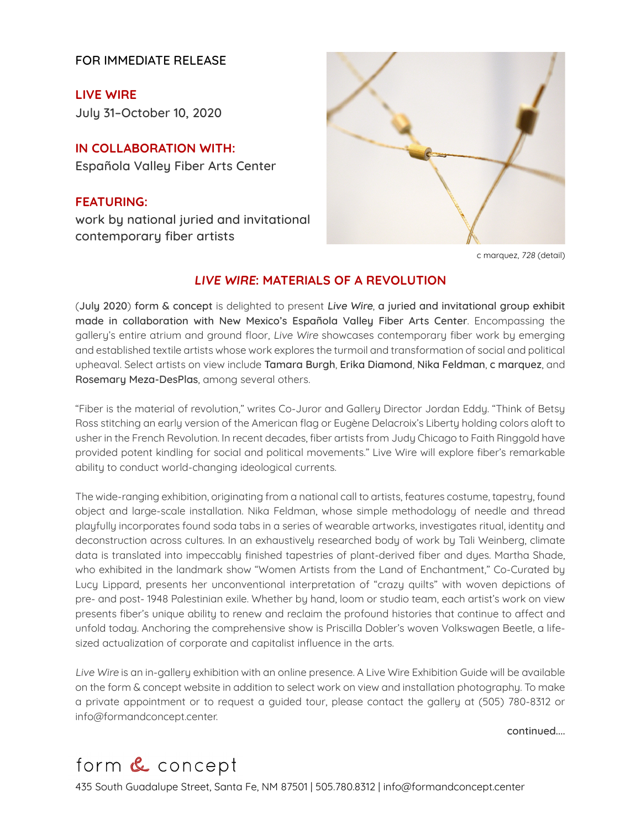FOR IMMEDIATE RELEASE

**[LIVE WIRE](https://www.formandconcept.center/exhibitions/66-live-wire/overview/)** [July 31–October 10, 2020](https://www.formandconcept.center/exhibitions/66-live-wire/overview/)

**[IN COLLABORATION WITH:](https://www.formandconcept.center/exhibitions/66-live-wire/overview/)** [Española Valley Fiber Arts Center](https://www.formandconcept.center/exhibitions/66-live-wire/overview/)

**[FEATURING:](https://www.formandconcept.center/exhibitions/66-live-wire/overview/)** [work by national juried and invitational](https://www.formandconcept.center/exhibitions/66-live-wire/overview/)  [contemporary fiber artists](https://www.formandconcept.center/exhibitions/66-live-wire/overview/)



c marquez, 728 (detail)

## **LIVE WIRE: MATERIALS OF A REVOLUTION**

(July 2020) form & concept is delighted to present Live Wire, a juried and invitational group exhibit made in collaboration with New Mexico's Española Valley Fiber Arts Center. Encompassing the gallery's entire atrium and ground floor, Live Wire showcases contemporary fiber work by emerging and established textile artists whose work explores the turmoil and transformation of social and political upheaval. Select artists on view include Tamara Burgh, Erika Diamond, Nika Feldman, c marquez, and Rosemary Meza-DesPlas, among several others.

"Fiber is the material of revolution," writes Co-Juror and Gallery Director Jordan Eddy. "Think of Betsy Ross stitching an early version of the American flag or Eugène Delacroix's Liberty holding colors aloft to usher in the French Revolution. In recent decades, fiber artists from Judy Chicago to Faith Ringgold have provided potent kindling for social and political movements." Live Wire will explore fiber's remarkable ability to conduct world-changing ideological currents.

The wide-ranging exhibition, originating from a national call to artists, features costume, tapestry, found object and large-scale installation. Nika Feldman, whose simple methodology of needle and thread playfully incorporates found soda tabs in a series of wearable artworks, investigates ritual, identity and deconstruction across cultures. In an exhaustively researched body of work by Tali Weinberg, climate data is translated into impeccably finished tapestries of plant-derived fiber and dyes. Martha Shade, who exhibited in the landmark show "Women Artists from the Land of Enchantment," Co-Curated by Lucy Lippard, presents her unconventional interpretation of "crazy quilts" with woven depictions of pre- and post- 1948 Palestinian exile. Whether by hand, loom or studio team, each artist's work on view presents fiber's unique ability to renew and reclaim the profound histories that continue to affect and unfold today. Anchoring the comprehensive show is Priscilla Dobler's woven Volkswagen Beetle, a lifesized actualization of corporate and capitalist influence in the arts.

Live Wire is an in-gallery exhibition with an online presence. A Live Wire Exhibition Guide will be available on the form & concept website in addition to select work on view and installation photography. To make a private appointment or to request a guided tour, please contact the gallery at (505) 780-8312 or info@formandconcept.center.

continued....

## form & concept

[435 South Guadalupe Street, Santa](http://www.formandconcept.center) Fe, NM 87501 | 505.780.8312 | info@formandconcept.center